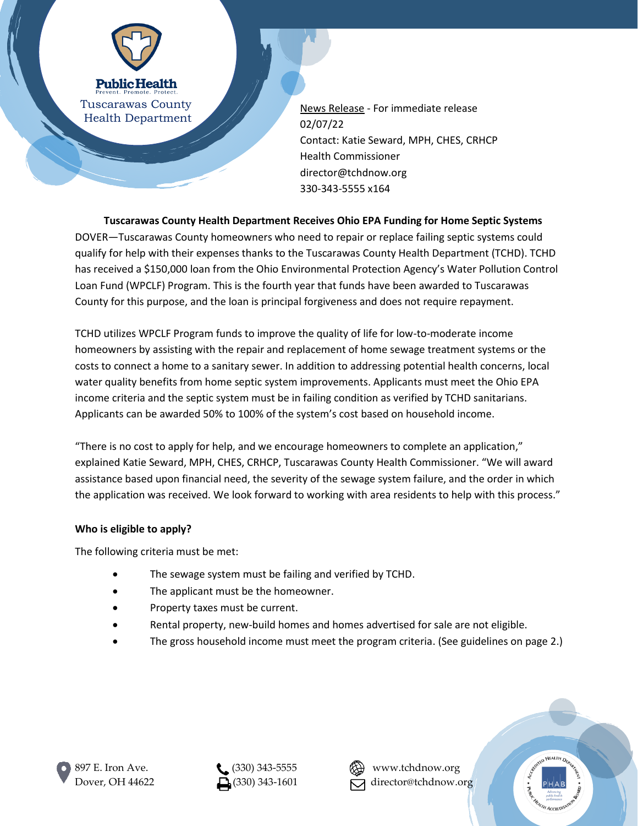

Tuscarawas County Health Department

News Release - For immediate release 02/07/22 Contact: Katie Seward, MPH, CHES, CRHCP Health Commissioner director@tchdnow.org 330-343-5555 x164

**Tuscarawas County Health Department Receives Ohio EPA Funding for Home Septic Systems** DOVER—Tuscarawas County homeowners who need to repair or replace failing septic systems could qualify for help with their expenses thanks to the Tuscarawas County Health Department (TCHD). TCHD has received a \$150,000 loan from the Ohio Environmental Protection Agency's Water Pollution Control Loan Fund (WPCLF) Program. This is the fourth year that funds have been awarded to Tuscarawas County for this purpose, and the loan is principal forgiveness and does not require repayment.

TCHD utilizes WPCLF Program funds to improve the quality of life for low-to-moderate income homeowners by assisting with the repair and replacement of home sewage treatment systems or the costs to connect a home to a sanitary sewer. In addition to addressing potential health concerns, local water quality benefits from home septic system improvements. Applicants must meet the Ohio EPA income criteria and the septic system must be in failing condition as verified by TCHD sanitarians. Applicants can be awarded 50% to 100% of the system's cost based on household income.

"There is no cost to apply for help, and we encourage homeowners to complete an application," explained Katie Seward, MPH, CHES, CRHCP, Tuscarawas County Health Commissioner. "We will award assistance based upon financial need, the severity of the sewage system failure, and the order in which the application was received. We look forward to working with area residents to help with this process."

## **Who is eligible to apply?**

The following criteria must be met:

- The sewage system must be failing and verified by TCHD.
- The applicant must be the homeowner.
- Property taxes must be current.
- Rental property, new-build homes and homes advertised for sale are not eligible.
- The gross household income must meet the program criteria. (See guidelines on page 2.)